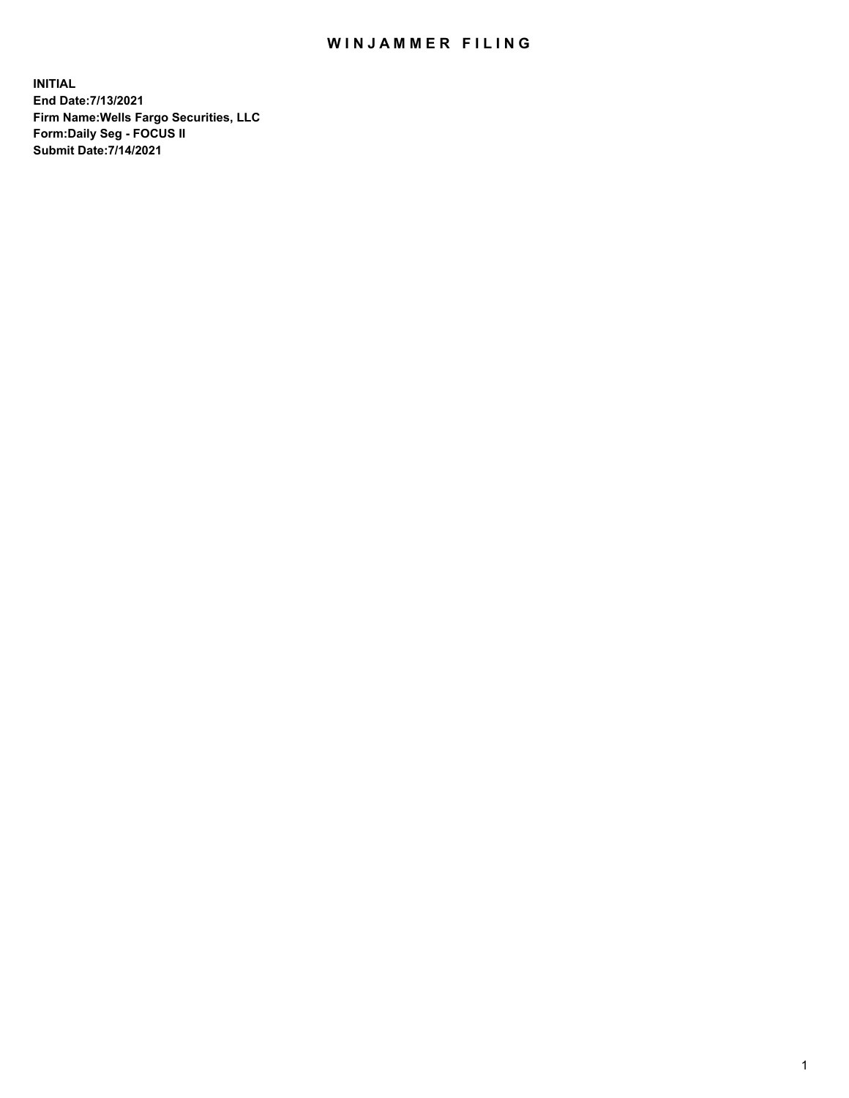## WIN JAMMER FILING

**INITIAL End Date:7/13/2021 Firm Name:Wells Fargo Securities, LLC Form:Daily Seg - FOCUS II Submit Date:7/14/2021**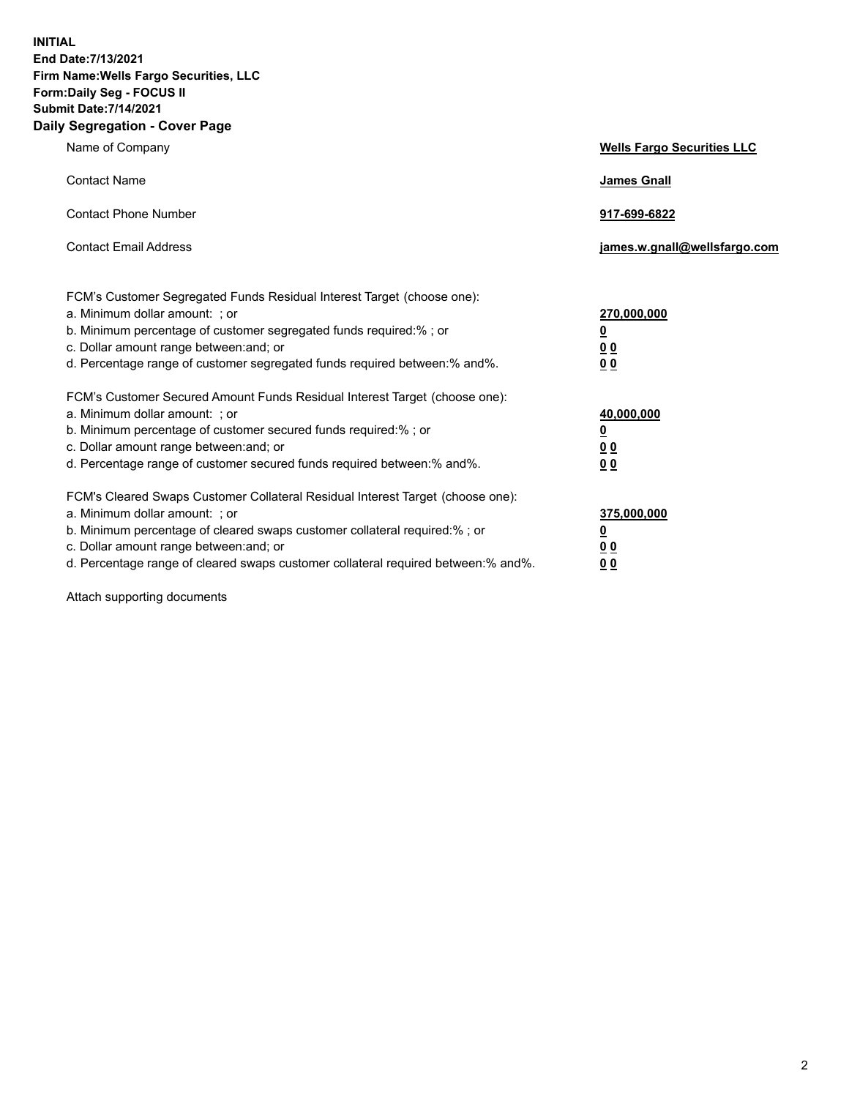**INITIAL End Date:7/13/2021 Firm Name:Wells Fargo Securities, LLC Form:Daily Seg - FOCUS II Submit Date:7/14/2021 Daily Segregation - Cover Page**

| Name of Company                                                                                                                                                                                                                                                                                                                | <b>Wells Fargo Securities LLC</b>                                         |
|--------------------------------------------------------------------------------------------------------------------------------------------------------------------------------------------------------------------------------------------------------------------------------------------------------------------------------|---------------------------------------------------------------------------|
| <b>Contact Name</b>                                                                                                                                                                                                                                                                                                            | <b>James Gnall</b>                                                        |
| <b>Contact Phone Number</b>                                                                                                                                                                                                                                                                                                    | 917-699-6822                                                              |
| <b>Contact Email Address</b>                                                                                                                                                                                                                                                                                                   | james.w.gnall@wellsfargo.com                                              |
| FCM's Customer Segregated Funds Residual Interest Target (choose one):<br>a. Minimum dollar amount: ; or<br>b. Minimum percentage of customer segregated funds required:% ; or<br>c. Dollar amount range between: and; or<br>d. Percentage range of customer segregated funds required between:% and%.                         | 270,000,000<br>$\overline{\mathbf{0}}$<br>0 <sub>0</sub><br>00            |
| FCM's Customer Secured Amount Funds Residual Interest Target (choose one):<br>a. Minimum dollar amount: ; or<br>b. Minimum percentage of customer secured funds required:%; or<br>c. Dollar amount range between: and; or<br>d. Percentage range of customer secured funds required between:% and%.                            | 40,000,000<br>$\overline{\mathbf{0}}$<br>0 <sub>0</sub><br>0 <sub>0</sub> |
| FCM's Cleared Swaps Customer Collateral Residual Interest Target (choose one):<br>a. Minimum dollar amount: ; or<br>b. Minimum percentage of cleared swaps customer collateral required:% ; or<br>c. Dollar amount range between: and; or<br>d. Percentage range of cleared swaps customer collateral required between:% and%. | 375,000,000<br><u>0</u><br>00<br>00                                       |

Attach supporting documents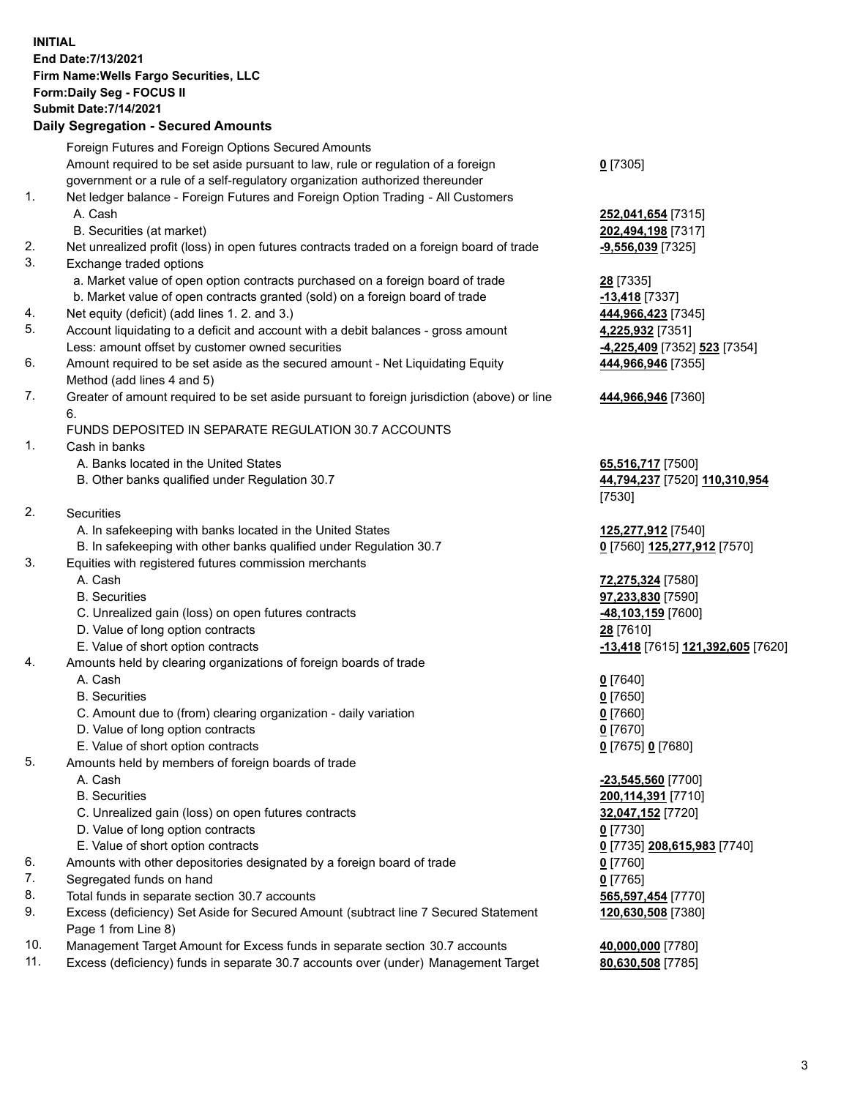**INITIAL End Date:7/13/2021 Firm Name:Wells Fargo Securities, LLC Form:Daily Seg - FOCUS II Submit Date:7/14/2021**

## **Daily Segregation - Secured Amounts**

|    | Foreign Futures and Foreign Options Secured Amounts                                         |                                   |
|----|---------------------------------------------------------------------------------------------|-----------------------------------|
|    | Amount required to be set aside pursuant to law, rule or regulation of a foreign            | $0$ [7305]                        |
|    | government or a rule of a self-regulatory organization authorized thereunder                |                                   |
| 1. | Net ledger balance - Foreign Futures and Foreign Option Trading - All Customers             |                                   |
|    | A. Cash                                                                                     | 252,041,654 [7315]                |
|    | B. Securities (at market)                                                                   | 202,494,198 [7317]                |
| 2. | Net unrealized profit (loss) in open futures contracts traded on a foreign board of trade   | $-9,556,039$ [7325]               |
| 3. | Exchange traded options                                                                     |                                   |
|    | a. Market value of open option contracts purchased on a foreign board of trade              | 28 [7335]                         |
|    | b. Market value of open contracts granted (sold) on a foreign board of trade                | $-13,418$ [7337]                  |
| 4. | Net equity (deficit) (add lines 1. 2. and 3.)                                               | 444,966,423 [7345]                |
| 5. | Account liquidating to a deficit and account with a debit balances - gross amount           | 4,225,932 [7351]                  |
|    | Less: amount offset by customer owned securities                                            | -4,225,409 [7352] 523 [7354]      |
| 6. | Amount required to be set aside as the secured amount - Net Liquidating Equity              | 444,966,946 [7355]                |
|    | Method (add lines 4 and 5)                                                                  |                                   |
| 7. | Greater of amount required to be set aside pursuant to foreign jurisdiction (above) or line | 444,966,946 [7360]                |
|    | 6.                                                                                          |                                   |
|    | FUNDS DEPOSITED IN SEPARATE REGULATION 30.7 ACCOUNTS                                        |                                   |
| 1. | Cash in banks                                                                               |                                   |
|    | A. Banks located in the United States                                                       | 65,516,717 [7500]                 |
|    | B. Other banks qualified under Regulation 30.7                                              | 44,794,237 [7520] 110,310,954     |
|    |                                                                                             | [7530]                            |
| 2. | <b>Securities</b>                                                                           |                                   |
|    | A. In safekeeping with banks located in the United States                                   | 125,277,912 [7540]                |
|    | B. In safekeeping with other banks qualified under Regulation 30.7                          | 0 [7560] 125,277,912 [7570]       |
| 3. | Equities with registered futures commission merchants                                       |                                   |
|    | A. Cash                                                                                     | 72,275,324 [7580]                 |
|    | <b>B.</b> Securities                                                                        | 97,233,830 [7590]                 |
|    | C. Unrealized gain (loss) on open futures contracts                                         | 48,103,159 [7600]                 |
|    | D. Value of long option contracts                                                           | 28 [7610]                         |
|    | E. Value of short option contracts                                                          | -13,418 [7615] 121,392,605 [7620] |
| 4. | Amounts held by clearing organizations of foreign boards of trade                           |                                   |
|    | A. Cash                                                                                     | $0$ [7640]                        |
|    | <b>B.</b> Securities                                                                        | $0$ [7650]                        |
|    | C. Amount due to (from) clearing organization - daily variation                             | $0$ [7660]                        |
|    | D. Value of long option contracts                                                           | $0$ [7670]                        |
|    | E. Value of short option contracts                                                          | 0 [7675] 0 [7680]                 |
| 5. | Amounts held by members of foreign boards of trade                                          |                                   |
|    | A. Cash                                                                                     | -23,545,560 [7700]                |
|    | <b>B.</b> Securities                                                                        | 200,114,391 [7710]                |
|    | C. Unrealized gain (loss) on open futures contracts                                         | 32,047,152 [7720]                 |
|    | D. Value of long option contracts                                                           | $0$ [7730]                        |
|    | E. Value of short option contracts                                                          | 0 [7735] 208,615,983 [7740]       |
| 6. | Amounts with other depositories designated by a foreign board of trade                      | $0$ [7760]                        |
| 7. | Segregated funds on hand                                                                    | $0$ [7765]                        |
| 8. | Total funds in separate section 30.7 accounts                                               | 565,597,454 [7770]                |
| 9. | Excess (deficiency) Set Aside for Secured Amount (subtract line 7 Secured Statement         | 120,630,508 [7380]                |
|    | Page 1 from Line 8)                                                                         |                                   |

- 10. Management Target Amount for Excess funds in separate section 30.7 accounts **40,000,000** [7780]
- 11. Excess (deficiency) funds in separate 30.7 accounts over (under) Management Target **80,630,508** [7785]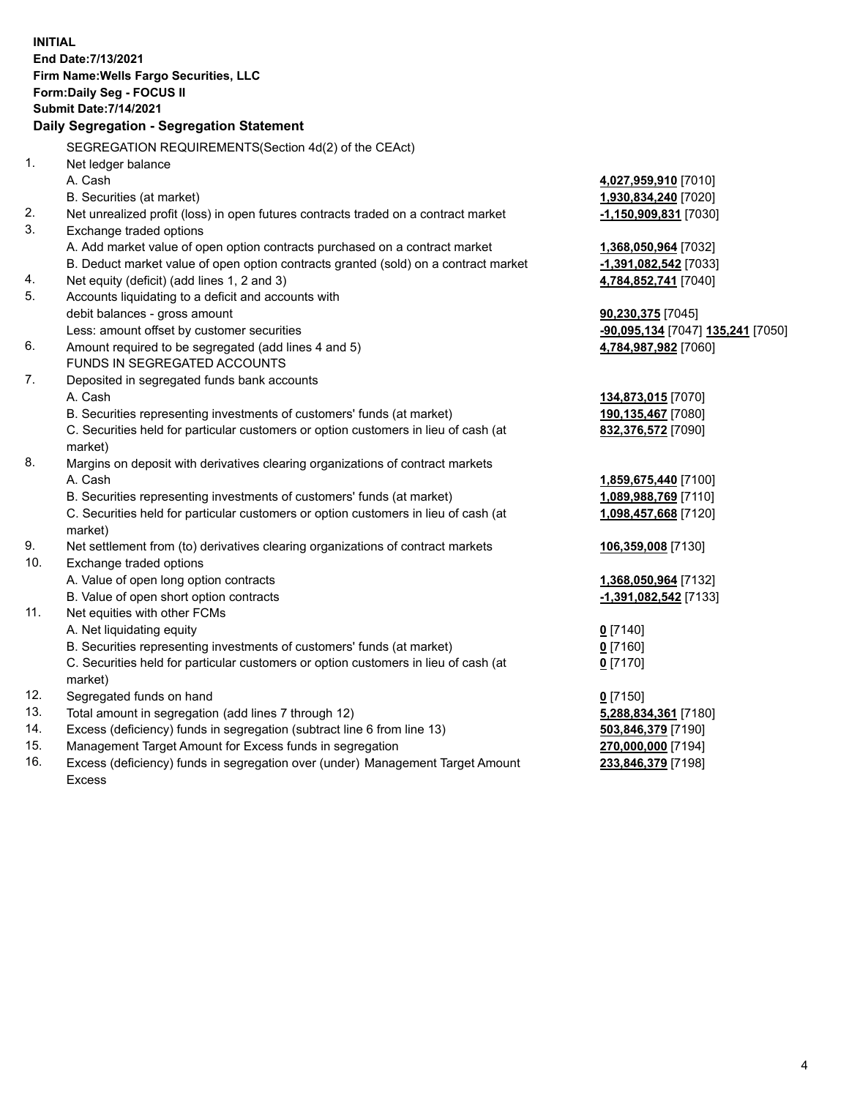**INITIAL End Date:7/13/2021 Firm Name:Wells Fargo Securities, LLC Form:Daily Seg - FOCUS II Submit Date:7/14/2021 Daily Segregation - Segregation Statement** SEGREGATION REQUIREMENTS(Section 4d(2) of the CEAct) 1. Net ledger balance A. Cash **4,027,959,910** [7010] B. Securities (at market) **1,930,834,240** [7020] 2. Net unrealized profit (loss) in open futures contracts traded on a contract market **-1,150,909,831** [7030] 3. Exchange traded options A. Add market value of open option contracts purchased on a contract market **1,368,050,964** [7032] B. Deduct market value of open option contracts granted (sold) on a contract market

- 4. Net equity (deficit) (add lines 1, 2 and 3)
- 5. Accounts liquidating to a deficit and accounts with debit balances - gross amount
- 6. Amount required to be segregated (add lines 4 and 5) **4,784,987,982** [7060] FUNDS IN SEGREGATED ACCOUNTS
- 7. Deposited in segregated funds bank accounts A. Cash **134,873,015** [7070]
	- B. Securities representing investments of customers' funds (at market) **1**

C. Securities held for particular customers or option customers in lieu of cash (at market)

- 8. Margins on deposit with derivatives clearing organizations of contract markets A. Cash **1,859,675,440** [7100]
	- B. Securities representing investments of customers' funds (at market) **1**

C. Securities held for particular customers or option customers in lieu of cash (at market)

- 9. Net settlement from (to) derivatives clearing organizations of contract markets **106,359,008** [7130]
- 10. Exchange traded options
	- A. Value of open long option contracts **1,368,050,964** [7132]
	- B. Value of open short option contracts **-1,391,082,542** [7133]
- 11. Net equities with other FCMs
	- A. Net liquidating equity **0** [7140]
	- B. Securities representing investments of customers' funds (at market) **0** [7160]

C. Securities held for particular customers or option customers in lieu of cash (at market)

- 12. Segregated funds on hand **0** [7150]
- 13. Total amount in segregation (add lines 7 through 12) **5,288,834,361** [7180]
- 14. Excess (deficiency) funds in segregation (subtract line 6 from line 13) **503,846,379** [7190]
- 15. Management Target Amount for Excess funds in segregation **270,000,000** [7194]
- 16. Excess (deficiency) funds in segregation over (under) Management Target Amount Excess

| -1,391,082,542 [7033]         |
|-------------------------------|
| 4,784,852,741 [7040]          |
|                               |
| <b>90,230,375</b> [7045]      |
| -90.095.134 [7047] 135.241 [] |

Less: amount offset by customer securities **-90,095,134** [7047] **135,241** [7050]

| 134,873,015 [7070]        |  |
|---------------------------|--|
| 190,135,467  7080         |  |
| <u>832,376,572</u> [7090] |  |

| <u>1,859,675,440</u> [7100] |  |
|-----------------------------|--|
| <u>1,089,988,769</u> [7110] |  |
| <u>1,098,457,668</u> [7120] |  |

**0** [7170]

**233,846,379** [7198]